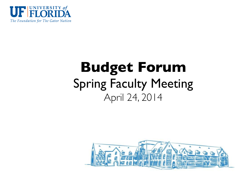

#### **Budget Forum** Spring Faculty Meeting April 24, 2014

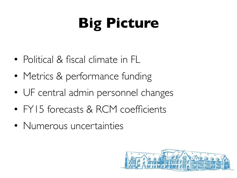## **Big Picture**

- Political & fiscal climate in FL
- Metrics & performance funding
- UF central admin personnel changes
- FY15 forecasts & RCM coefficients
- Numerous uncertainties

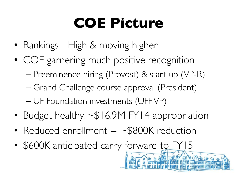#### **COE Picture**

- Rankings High & moving higher
- COE garnering much positive recognition – Preeminence hiring (Provost) & start up (VP-R) – Grand Challenge course approval (President) – UF Foundation investments (UFF VP)
- Budget healthy, ~\$16.9M FY14 appropriation
- Reduced enrollment  $=$  ~\$800K reduction
- \$600K anticipated carry forward to FY15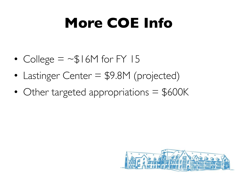#### **More COE Info**

- College  $=$  ~\$16M for FY 15
- Lastinger Center = \$9.8M (projected)
- Other targeted appropriations = \$600K

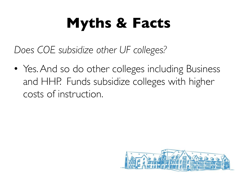*Does COE subsidize other UF colleges?*

• Yes. And so do other colleges including Business and HHP. Funds subsidize colleges with higher costs of instruction.

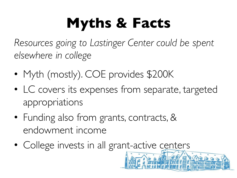*Resources going to Lastinger Center could be spent elsewhere in college*

- Myth (mostly). COE provides \$200K
- LC covers its expenses from separate, targeted appropriations
- Funding also from grants, contracts, & endowment income
- College invests in all grant-active centers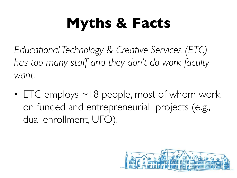*Educational Technology & Creative Services (ETC) has too many staff and they don't do work faculty want.*

• ETC employs  $\sim$  18 people, most of whom work on funded and entrepreneurial projects (e.g., dual enrollment, UFO).

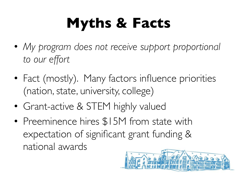- *My program does not receive support proportional to our effort*
- Fact (mostly). Many factors influence priorities (nation, state, university, college)
- Grant-active & STEM highly valued
- Preeminence hires \$15M from state with expectation of significant grant funding & national awards

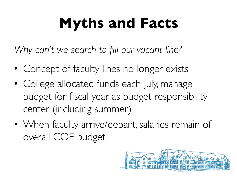#### **Myths and Facts**

*Why can't we search to fill our vacant line?*

- Concept of faculty lines no longer exists
- College allocated funds each July, manage budget for fiscal year as budget responsibility center (including summer)
- When faculty arrive/depart, salaries remain of overall COE budget

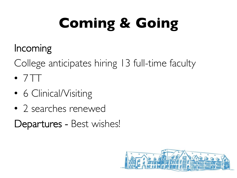# **Coming & Going**

#### Incoming

College anticipates hiring 13 full-time faculty

- $7TT$
- 6 Clinical/Visiting
- 2 searches renewed

Departures - Best wishes!

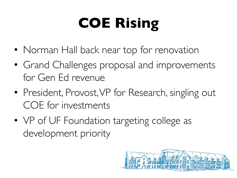# **COE Rising**

- Norman Hall back near top for renovation
- Grand Challenges proposal and improvements for Gen Ed revenue
- President, Provost, VP for Research, singling out COE for investments
- VP of UF Foundation targeting college as development priority

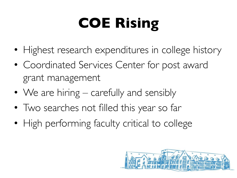# **COE Rising**

- Highest research expenditures in college history
- Coordinated Services Center for post award grant management
- We are hiring carefully and sensibly
- Two searches not filled this year so far
- High performing faculty critical to college

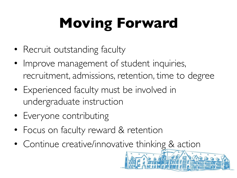# **Moving Forward**

- Recruit outstanding faculty
- Improve management of student inquiries, recruitment, admissions, retention, time to degree
- Experienced faculty must be involved in undergraduate instruction
- Everyone contributing
- Focus on faculty reward & retention
- Continue creative/innovative thinking & action